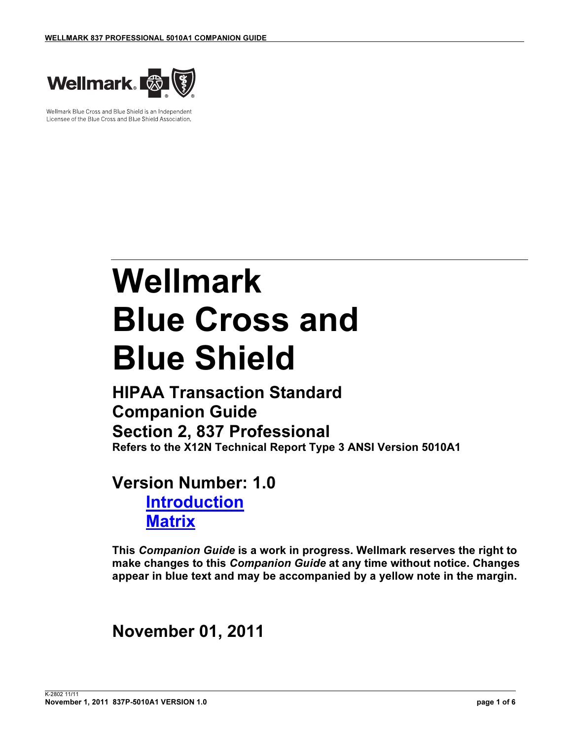

Wellmark Blue Cross and Blue Shield is an Independent Licensee of the Blue Cross and Blue Shield Association.

# Wellmark Blue Cross and Blue Shield

## HIPAA Transaction Standard Companion Guide Section 2, 837 Professional Refers to the X12N Technical Report Type 3 ANSI Version 5010A1

# Version Number: 1.0 **Introduction Matrix**

This Companion Guide is a work in progress. Wellmark reserves the right to make changes to this Companion Guide at any time without notice. Changes appear in blue text and may be accompanied by a yellow note in the margin.

# November 01, 2011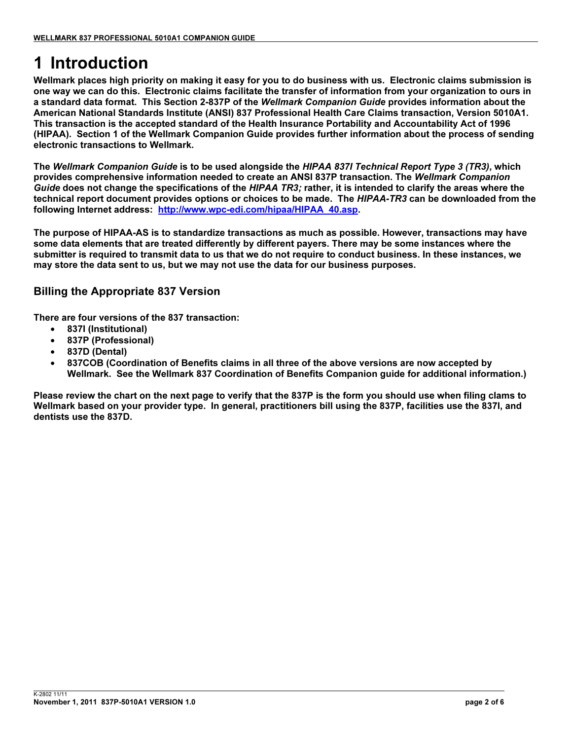# 1 Introduction

Wellmark places high priority on making it easy for you to do business with us. Electronic claims submission is one way we can do this. Electronic claims facilitate the transfer of information from your organization to ours in a standard data format. This Section 2-837P of the Wellmark Companion Guide provides information about the American National Standards Institute (ANSI) 837 Professional Health Care Claims transaction, Version 5010A1. This transaction is the accepted standard of the Health Insurance Portability and Accountability Act of 1996 (HIPAA). Section 1 of the Wellmark Companion Guide provides further information about the process of sending electronic transactions to Wellmark.

The Wellmark Companion Guide is to be used alongside the HIPAA 837I Technical Report Type 3 (TR3), which provides comprehensive information needed to create an ANSI 837P transaction. The Wellmark Companion Guide does not change the specifications of the HIPAA TR3; rather, it is intended to clarify the areas where the technical report document provides options or choices to be made. The HIPAA-TR3 can be downloaded from the following Internet address: http://www.wpc-edi.com/hipaa/HIPAA\_40.asp.

The purpose of HIPAA-AS is to standardize transactions as much as possible. However, transactions may have some data elements that are treated differently by different payers. There may be some instances where the submitter is required to transmit data to us that we do not require to conduct business. In these instances, we may store the data sent to us, but we may not use the data for our business purposes.

### Billing the Appropriate 837 Version

There are four versions of the 837 transaction:

- 837I (Institutional)
- 837P (Professional)
- 837D (Dental)
- 837COB (Coordination of Benefits claims in all three of the above versions are now accepted by Wellmark. See the Wellmark 837 Coordination of Benefits Companion guide for additional information.)

Please review the chart on the next page to verify that the 837P is the form you should use when filing clams to Wellmark based on your provider type. In general, practitioners bill using the 837P, facilities use the 837I, and dentists use the 837D.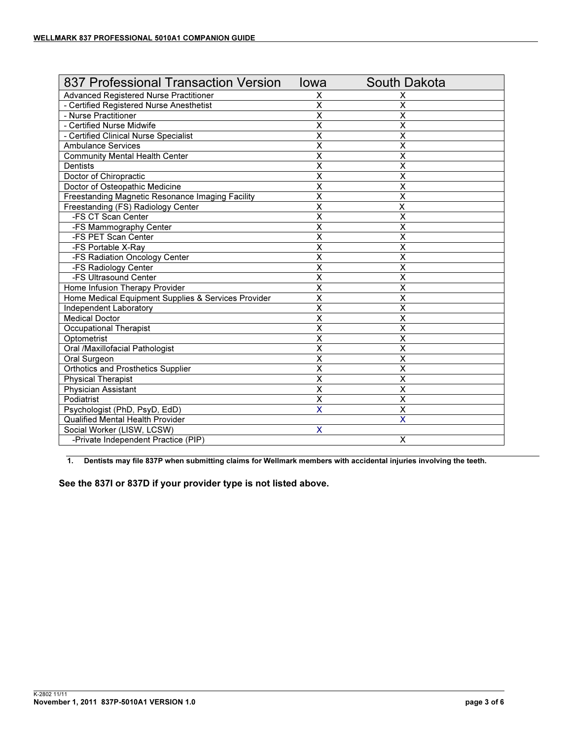| 837 Professional Transaction Version                | lowa                      | <b>South Dakota</b>     |
|-----------------------------------------------------|---------------------------|-------------------------|
| Advanced Registered Nurse Practitioner              | X                         | х                       |
| - Certified Registered Nurse Anesthetist            | $\overline{\mathsf{x}}$   | X                       |
| - Nurse Practitioner                                | $\overline{\mathsf{x}}$   | $\overline{\mathsf{x}}$ |
| - Certified Nurse Midwife                           | $\overline{\mathsf{x}}$   | $\overline{\mathsf{x}}$ |
| - Certified Clinical Nurse Specialist               | $\overline{\mathsf{x}}$   | $\overline{\mathsf{x}}$ |
| <b>Ambulance Services</b>                           | $\overline{\mathsf{x}}$   | $\overline{\mathsf{x}}$ |
| <b>Community Mental Health Center</b>               | $\overline{\mathsf{x}}$   | $\overline{\mathsf{x}}$ |
| <b>Dentists</b>                                     | $\overline{\mathsf{x}}$   | $\overline{\mathsf{x}}$ |
| Doctor of Chiropractic                              | X                         | X                       |
| Doctor of Osteopathic Medicine                      | X                         | X                       |
| Freestanding Magnetic Resonance Imaging Facility    | $\overline{\mathsf{x}}$   | X                       |
| Freestanding (FS) Radiology Center                  | $\overline{\mathsf{x}}$   | X                       |
| -FS CT Scan Center                                  | $\overline{\mathsf{x}}$   | X                       |
| -FS Mammography Center                              | X                         | X                       |
| -FS PET Scan Center                                 | X                         | X                       |
| -FS Portable X-Ray                                  | $\overline{\mathsf{x}}$   | $\overline{\mathsf{x}}$ |
| -FS Radiation Oncology Center                       | X                         | X                       |
| -FS Radiology Center                                | $\overline{\mathsf{x}}$   | $\overline{\mathsf{x}}$ |
| -FS Ultrasound Center                               | $\overline{\mathsf{x}}$   | X                       |
| Home Infusion Therapy Provider                      | $\overline{\mathsf{x}}$   | $\overline{\mathsf{x}}$ |
| Home Medical Equipment Supplies & Services Provider | $\overline{\mathsf{x}}$   | $\overline{\mathsf{x}}$ |
| Independent Laboratory                              | $\overline{\mathsf{x}}$   | $\overline{\mathsf{x}}$ |
| <b>Medical Doctor</b>                               | $\overline{\mathsf{x}}$   | $\overline{\mathsf{x}}$ |
| <b>Occupational Therapist</b>                       | $\overline{\mathsf{x}}$   | X                       |
| Optometrist                                         | $\overline{\mathsf{x}}$   | X                       |
| Oral /Maxillofacial Pathologist                     | $\overline{\mathsf{x}}$   | $\overline{\mathsf{x}}$ |
| Oral Surgeon                                        | $\overline{\mathsf{x}}$   | $\overline{\mathsf{x}}$ |
| Orthotics and Prosthetics Supplier                  | $\overline{\mathsf{x}}$   | $\overline{\mathsf{x}}$ |
| <b>Physical Therapist</b>                           | $\overline{\mathsf{x}}$   | $\overline{\mathsf{x}}$ |
| <b>Physician Assistant</b>                          | $\overline{\mathsf{x}}$   | $\overline{\mathsf{x}}$ |
| Podiatrist                                          | $\overline{\mathsf{x}}$   | $\overline{\mathsf{x}}$ |
| Psychologist (PhD, PsyD, EdD)                       | X                         | $\overline{\mathsf{x}}$ |
| <b>Qualified Mental Health Provider</b>             |                           | $\overline{\mathsf{x}}$ |
| Social Worker (LISW, LCSW)                          | $\boldsymbol{\mathsf{X}}$ |                         |
| -Private Independent Practice (PIP)                 |                           | X                       |

1. Dentists may file 837P when submitting claims for Wellmark members with accidental injuries involving the teeth.

See the 837I or 837D if your provider type is not listed above.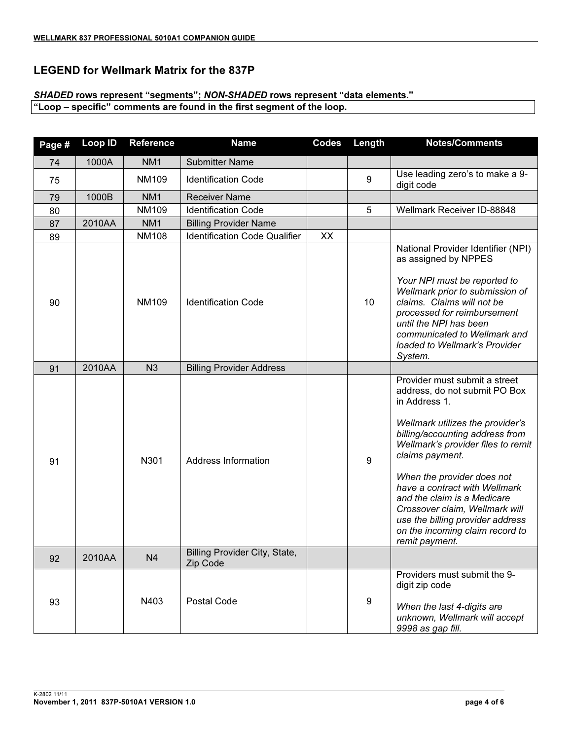#### LEGEND for Wellmark Matrix for the 837P

#### SHADED rows represent "segments"; NON-SHADED rows represent "data elements."

"Loop – specific" comments are found in the first segment of the loop.

| Page # | Loop ID | <b>Reference</b> | <b>Name</b>                               | <b>Codes</b> | Length           | <b>Notes/Comments</b>                                                                                                                                                                                                                                                                                                                                                                                                                    |
|--------|---------|------------------|-------------------------------------------|--------------|------------------|------------------------------------------------------------------------------------------------------------------------------------------------------------------------------------------------------------------------------------------------------------------------------------------------------------------------------------------------------------------------------------------------------------------------------------------|
| 74     | 1000A   | NM <sub>1</sub>  | <b>Submitter Name</b>                     |              |                  |                                                                                                                                                                                                                                                                                                                                                                                                                                          |
| 75     |         | <b>NM109</b>     | <b>Identification Code</b>                |              | 9                | Use leading zero's to make a 9-<br>digit code                                                                                                                                                                                                                                                                                                                                                                                            |
| 79     | 1000B   | NM <sub>1</sub>  | <b>Receiver Name</b>                      |              |                  |                                                                                                                                                                                                                                                                                                                                                                                                                                          |
| 80     |         | <b>NM109</b>     | <b>Identification Code</b>                |              | 5                | Wellmark Receiver ID-88848                                                                                                                                                                                                                                                                                                                                                                                                               |
| 87     | 2010AA  | NM <sub>1</sub>  | <b>Billing Provider Name</b>              |              |                  |                                                                                                                                                                                                                                                                                                                                                                                                                                          |
| 89     |         | <b>NM108</b>     | <b>Identification Code Qualifier</b>      | XX           |                  |                                                                                                                                                                                                                                                                                                                                                                                                                                          |
| 90     |         | <b>NM109</b>     | <b>Identification Code</b>                |              | 10               | National Provider Identifier (NPI)<br>as assigned by NPPES<br>Your NPI must be reported to<br>Wellmark prior to submission of<br>claims. Claims will not be<br>processed for reimbursement<br>until the NPI has been<br>communicated to Wellmark and<br>loaded to Wellmark's Provider<br>System.                                                                                                                                         |
| 91     | 2010AA  | N <sub>3</sub>   | <b>Billing Provider Address</b>           |              |                  |                                                                                                                                                                                                                                                                                                                                                                                                                                          |
| 91     |         | N301             | <b>Address Information</b>                |              | $9\,$            | Provider must submit a street<br>address, do not submit PO Box<br>in Address 1.<br>Wellmark utilizes the provider's<br>billing/accounting address from<br>Wellmark's provider files to remit<br>claims payment.<br>When the provider does not<br>have a contract with Wellmark<br>and the claim is a Medicare<br>Crossover claim, Wellmark will<br>use the billing provider address<br>on the incoming claim record to<br>remit payment. |
| 92     | 2010AA  | N <sub>4</sub>   | Billing Provider City, State,<br>Zip Code |              |                  |                                                                                                                                                                                                                                                                                                                                                                                                                                          |
| 93     |         | N403             | <b>Postal Code</b>                        |              | $\boldsymbol{9}$ | Providers must submit the 9-<br>digit zip code<br>When the last 4-digits are<br>unknown, Wellmark will accept<br>9998 as gap fill.                                                                                                                                                                                                                                                                                                       |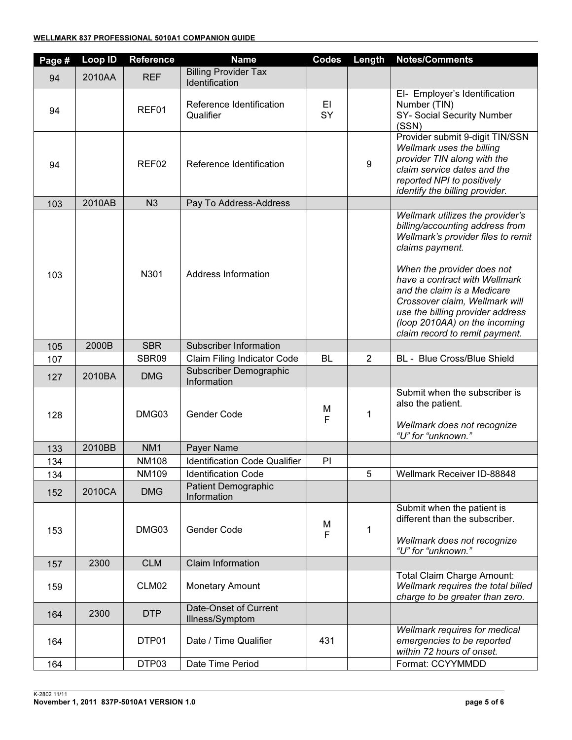| Page # | <b>Loop ID</b> | Reference       | <b>Name</b>                                   | <b>Codes</b>      | Length         | <b>Notes/Comments</b>                                                                                                                                                                                                                                                                                                                                               |
|--------|----------------|-----------------|-----------------------------------------------|-------------------|----------------|---------------------------------------------------------------------------------------------------------------------------------------------------------------------------------------------------------------------------------------------------------------------------------------------------------------------------------------------------------------------|
| 94     | 2010AA         | <b>REF</b>      | <b>Billing Provider Tax</b><br>Identification |                   |                |                                                                                                                                                                                                                                                                                                                                                                     |
| 94     |                | REF01           | Reference Identification<br>Qualifier         | EL<br>SY          |                | El- Employer's Identification<br>Number (TIN)<br>SY- Social Security Number<br>(SSN)                                                                                                                                                                                                                                                                                |
| 94     |                | REF02           | Reference Identification                      |                   | 9              | Provider submit 9-digit TIN/SSN<br>Wellmark uses the billing<br>provider TIN along with the<br>claim service dates and the<br>reported NPI to positively<br>identify the billing provider.                                                                                                                                                                          |
| 103    | 2010AB         | N <sub>3</sub>  | Pay To Address-Address                        |                   |                |                                                                                                                                                                                                                                                                                                                                                                     |
| 103    |                | N301            | Address Information                           |                   |                | Wellmark utilizes the provider's<br>billing/accounting address from<br>Wellmark's provider files to remit<br>claims payment.<br>When the provider does not<br>have a contract with Wellmark<br>and the claim is a Medicare<br>Crossover claim, Wellmark will<br>use the billing provider address<br>(loop 2010AA) on the incoming<br>claim record to remit payment. |
| 105    | 2000B          | <b>SBR</b>      | <b>Subscriber Information</b>                 |                   |                |                                                                                                                                                                                                                                                                                                                                                                     |
| 107    |                | SBR09           | Claim Filing Indicator Code                   | <b>BL</b>         | $\overline{2}$ | BL - Blue Cross/Blue Shield                                                                                                                                                                                                                                                                                                                                         |
| 127    | 2010BA         | <b>DMG</b>      | Subscriber Demographic<br>Information         |                   |                |                                                                                                                                                                                                                                                                                                                                                                     |
| 128    |                | DMG03           | Gender Code                                   | M<br>$\mathsf{F}$ | 1              | Submit when the subscriber is<br>also the patient.<br>Wellmark does not recognize<br>"U" for "unknown."                                                                                                                                                                                                                                                             |
| 133    | 2010BB         | NM <sub>1</sub> | Payer Name                                    |                   |                |                                                                                                                                                                                                                                                                                                                                                                     |
| 134    |                | <b>NM108</b>    | <b>Identification Code Qualifier</b>          | PI                |                |                                                                                                                                                                                                                                                                                                                                                                     |
| 134    |                | NM109           | <b>Identification Code</b>                    |                   | 5              | Wellmark Receiver ID-88848                                                                                                                                                                                                                                                                                                                                          |
| 152    | 2010CA         | <b>DMG</b>      | <b>Patient Demographic</b><br>Information     |                   |                |                                                                                                                                                                                                                                                                                                                                                                     |
| 153    |                | DMG03           | Gender Code                                   | М<br>$\mathsf F$  | $\mathbf 1$    | Submit when the patient is<br>different than the subscriber.<br>Wellmark does not recognize<br>"U" for "unknown."                                                                                                                                                                                                                                                   |
| 157    | 2300           | <b>CLM</b>      | <b>Claim Information</b>                      |                   |                |                                                                                                                                                                                                                                                                                                                                                                     |
| 159    |                | CLM02           | <b>Monetary Amount</b>                        |                   |                | <b>Total Claim Charge Amount:</b><br>Wellmark requires the total billed<br>charge to be greater than zero.                                                                                                                                                                                                                                                          |
| 164    | 2300           | <b>DTP</b>      | Date-Onset of Current<br>Illness/Symptom      |                   |                |                                                                                                                                                                                                                                                                                                                                                                     |
| 164    |                | DTP01           | Date / Time Qualifier                         | 431               |                | Wellmark requires for medical<br>emergencies to be reported<br>within 72 hours of onset.                                                                                                                                                                                                                                                                            |
| 164    |                | DTP03           | Date Time Period                              |                   |                | Format: CCYYMMDD                                                                                                                                                                                                                                                                                                                                                    |